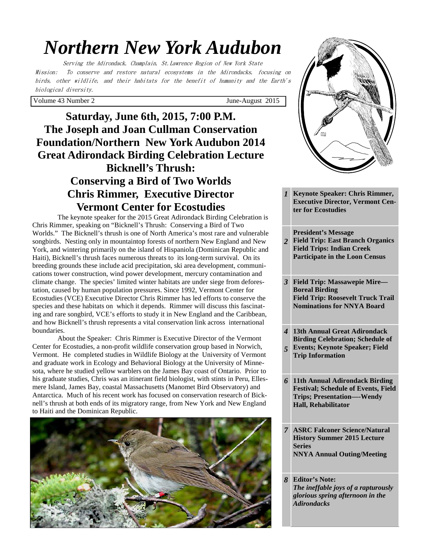# *Northern New York Audubon*

Serving the Adirondack, Champlain, St.Lawrence Region of New York State Mission: To conserve and restore natural ecosystems in the Adirondacks, focusing on birds, other wildlife, and their habitats for the benefit of humanity and the Earth's biological diversity.

Volume 43 Number 2 June-August 2015

# **Saturday, June 6th, 2015, 7:00 P.M. The Joseph and Joan Cullman Conservation Foundation/Northern New York Audubon 2014 Great Adirondack Birding Celebration Lecture Bicknell's Thrush: Conserving a Bird of Two Worlds Chris Rimmer, Executive Director Vermont Center for Ecostudies**

The keynote speaker for the 2015 Great Adirondack Birding Celebration is Chris Rimmer, speaking on "Bicknell's Thrush: Conserving a Bird of Two Worlds." The Bicknell's thrush is one of North America's most rare and vulnerable songbirds. Nesting only in mountaintop forests of northern New England and New York, and wintering primarily on the island of Hispaniola (Dominican Republic and Haiti), Bicknell's thrush faces numerous threats to its long-term survival. On its breeding grounds these include acid precipitation, ski area development, communications tower construction, wind power development, mercury contamination and climate change. The species' limited winter habitats are under siege from deforestation, caused by human population pressures. Since 1992, Vermont Center for Ecostudies (VCE) Executive Director Chris Rimmer has led efforts to conserve the species and these habitats on which it depends. Rimmer will discuss this fascinating and rare songbird, VCE's efforts to study it in New England and the Caribbean, and how Bicknell's thrush represents a vital conservation link across international boundaries.

 About the Speaker: Chris Rimmer is Executive Director of the Vermont Center for Ecostudies, a non-profit wildlife conservation group based in Norwich, Vermont. He completed studies in Wildlife Biology at the University of Vermont and graduate work in Ecology and Behavioral Biology at the University of Minnesota, where he studied yellow warblers on the James Bay coast of Ontario. Prior to his graduate studies, Chris was an itinerant field biologist, with stints in Peru, Ellesmere Island, James Bay, coastal Massachusetts (Manomet Bird Observatory) and Antarctica. Much of his recent work has focused on conservation research of Bicknell's thrush at both ends of its migratory range, from New York and New England to Haiti and the Dominican Republic.





- *1* **Keynote Speaker: Chris Rimmer, Executive Director, Vermont Center for Ecostudies**
- *2*  **President's Message Field Trip: East Branch Organics Field Trips: Indian Creek Participate in the Loon Census**
- *3* **Field Trip: Massawepie Mire— Boreal Birding Field Trip: Roosevelt Truck Trail Nominations for NNYA Board**
- *4 5*  **13th Annual Great Adirondack Birding Celebration; Schedule of Events; Keynote Speaker; Field Trip Information**
- *6* **11th Annual Adirondack Birding Festival; Schedule of Events, Field Trips; Presentation—-Wendy Hall, Rehabilitator**
- *7* **ASRC Falconer Science/Natural History Summer 2015 Lecture Series NNYA Annual Outing/Meeting**
- *8* **Editor's Note:**  *The ineffable joys of a rapturously glorious spring afternoon in the Adirondacks*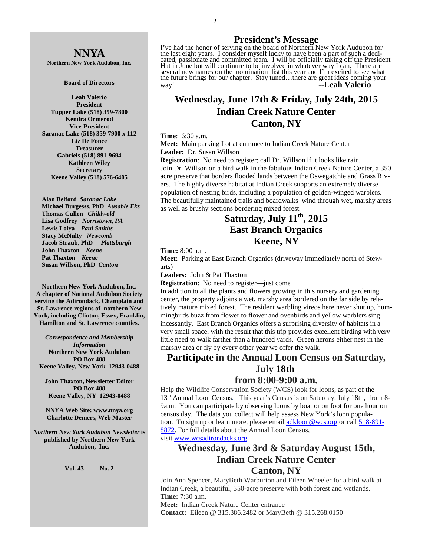# **NNYA**

**Northern New York Audubon, Inc.** 

#### **Board of Directors**

**Leah Valerio President Tupper Lake (518) 359-7800 Kendra Ormerod Vice-President Saranac Lake (518) 359-7900 x 112 Liz De Fonce Treasurer Gabriels (518) 891-9694 Kathleen Wiley Secretary Keene Valley (518) 576-6405** 

 **Alan Belford** *Saranac Lake* **Michael Burgesss, PhD** *Ausable Fks*   **Thomas Cullen** *Childwold* **Lisa Godfrey** *Norristown, PA*  **Lewis Lolya** *Paul Smiths*   **Stacy McNulty** *Newcomb*   **Jacob Straub, PhD** *Plattsburgh* **John Thaxton** *Keene* **Pat Thaxton** *Keene* **Susan Willson, PhD** *Canton* 

**Northern New York Audubon, Inc. A chapter of National Audubon Society serving the Adirondack, Champlain and St. Lawrence regions of northern New York, including Clinton, Essex, Franklin, Hamilton and St. Lawrence counties.** 

*Correspondence and Membership Information* **Northern New York Audubon PO Box 488 Keene Valley, New York 12943-0488** 

**John Thaxton, Newsletter Editor PO Box 488 Keene Valley, NY 12943-0488** 

**NNYA Web Site: www.nnya.org Charlotte Demers, Web Master**

*Northern New York Audubon Newsletter* **is published by Northern New York Audubon, Inc.** 

#### **Vol. 43 No. 2**

### **President's Message**

I've had the honor of serving on the board of Northern New York Audubon for the last eight years. I consider myself lucky to have been a part of such a dedicated, passionate and committed team. I will be officially taking off the President Hat in June but will continure to be involved in whatever way I can. There are several new names on the nomination list this year and I'm excited to see what the future brings for our chapter. Stay tuned…there are great ideas coming your way! **--Leah Valerio** 

# **Wednesday, June 17th & Friday, July 24th, 2015 Indian Creek Nature Center Canton, NY**

#### **Time**: 6:30 a.m.

**Meet:** Main parking Lot at entrance to Indian Creek Nature Center **Leader:** Dr. Susan Willson

**Registration**: No need to register; call Dr. Willson if it looks like rain. Join Dr. Willson on a bird walk in the fabulous Indian Creek Nature Center, a 350 acre preserve that borders flooded lands between the Oswegatchie and Grass Rivers. The highly diverse habitat at Indian Creek supports an extremely diverse population of nesting birds, including a population of golden-winged warblers. The beautifully maintained trails and boardwalks wind through wet, marshy areas as well as brushy sections bordering mixed forest.

# **Saturday, July 11th, 2015 East Branch Organics Keene, NY**

**Time:** 8:00 a.m.

**Meet:** Parking at East Branch Organics (driveway immediately north of Stewarts)

**Leaders:** John & Pat Thaxton

**Registration**: No need to register—just come

In addition to all the plants and flowers growing in this nursery and gardening center, the property adjoins a wet, marshy area bordered on the far side by relatively mature mixed forest. The resident warbling vireos here never shut up, hummingbirds buzz from flower to flower and ovenbirds and yellow warblers sing incessantly. East Branch Organics offers a surprising diversity of habitats in a very small space, with the result that this trip provides excellent birding with very little need to walk farther than a hundred yards. Green herons either nest in the marshy area or fly by every other year we offer the walk.

# **Participate in the Annual Loon Census on Saturday, July 18th**

# **from 8:00-9:00 a.m.**

Help the Wildlife Conservation Society (WCS) look for loons, as part of the 13<sup>th</sup> Annual Loon Census. This year's Census is on Saturday, July 18th, from 8-9a.m. You can participate by observing loons by boat or on foot for one hour on census day. The data you collect will help assess New York's loon population. To sign up or learn more, please email adkloon@wcs.org or call 518-891- 8872. For full details about the Annual Loon Census,

visit www.wcsadirondacks.org

# **Wednesday, June 3rd & Saturday August 15th, Indian Creek Nature Center Canton, NY**

Join Ann Spencer, MaryBeth Warburton and Eileen Wheeler for a bird walk at Indian Creek, a beautiful, 350-acre preserve with both forest and wetlands. **Time:** 7:30 a.m.

**Meet:** Indian Creek Nature Center entrance **Contact:** Eileen @ 315.386.2482 or MaryBeth @ 315.268.0150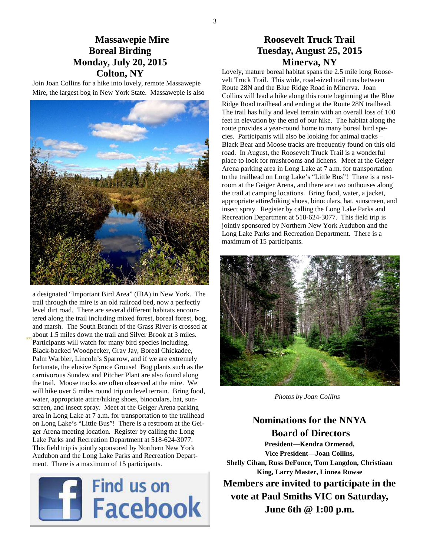# **Massawepie Mire Boreal Birding Monday, July 20, 2015 Colton, NY**

Join Joan Collins for a hike into lovely, remote Massawepie Mire, the largest bog in New York State. Massawepie is also



a designated "Important Bird Area" (IBA) in New York. The trail through the mire is an old railroad bed, now a perfectly level dirt road. There are several different habitats encountered along the trail including mixed forest, boreal forest, bog, and marsh. The South Branch of the Grass River is crossed at about 1.5 miles down the trail and Silver Brook at 3 miles. Participants will watch for many bird species including, Black-backed Woodpecker, Gray Jay, Boreal Chickadee, Palm Warbler, Lincoln's Sparrow, and if we are extremely fortunate, the elusive Spruce Grouse! Bog plants such as the carnivorous Sundew and Pitcher Plant are also found along the trail. Moose tracks are often observed at the mire. We will hike over 5 miles round trip on level terrain. Bring food, water, appropriate attire/hiking shoes, binoculars, hat, sunscreen, and insect spray. Meet at the Geiger Arena parking area in Long Lake at 7 a.m. for transportation to the trailhead on Long Lake's "Little Bus"! There is a restroom at the Geiger Arena meeting location. Register by calling the Long Lake Parks and Recreation Department at 518-624-3077. This field trip is jointly sponsored by Northern New York Audubon and the Long Lake Parks and Recreation Department. There is a maximum of 15 participants.



# **Roosevelt Truck Trail Tuesday, August 25, 2015 Minerva, NY**

Lovely, mature boreal habitat spans the 2.5 mile long Roosevelt Truck Trail. This wide, road-sized trail runs between Route 28N and the Blue Ridge Road in Minerva. Joan Collins will lead a hike along this route beginning at the Blue Ridge Road trailhead and ending at the Route 28N trailhead. The trail has hilly and level terrain with an overall loss of 100 feet in elevation by the end of our hike. The habitat along the route provides a year-round home to many boreal bird species. Participants will also be looking for animal tracks – Black Bear and Moose tracks are frequently found on this old road. In August, the Roosevelt Truck Trail is a wonderful place to look for mushrooms and lichens. Meet at the Geiger Arena parking area in Long Lake at 7 a.m. for transportation to the trailhead on Long Lake's "Little Bus"! There is a restroom at the Geiger Arena, and there are two outhouses along the trail at camping locations. Bring food, water, a jacket, appropriate attire/hiking shoes, binoculars, hat, sunscreen, and insect spray. Register by calling the Long Lake Parks and Recreation Department at 518-624-3077. This field trip is jointly sponsored by Northern New York Audubon and the Long Lake Parks and Recreation Department. There is a maximum of 15 participants.



*Photos by Joan Collins* 

# **Nominations for the NNYA Board of Directors**

**President—Kendra Ormerod, Vice President—Joan Collins, Shelly Cihan, Russ DeFonce, Tom Langdon, Christiaan King, Larry Master, Linnea Rowse Members are invited to participate in the vote at Paul Smiths VIC on Saturday, June 6th @ 1:00 p.m.**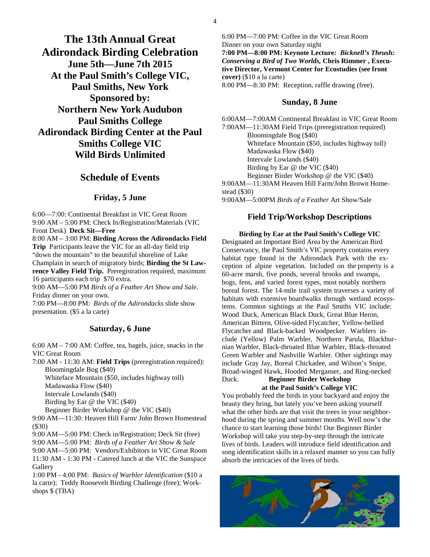**The 13th Annual Great Adirondack Birding Celebration June 5th—June 7th 2015 At the Paul Smith's College VIC, Paul Smiths, New York Sponsored by: Northern New York Audubon Paul Smiths College Adirondack Birding Center at the Paul Smiths College VIC Wild Birds Unlimited** 

### **Schedule of Events**

### **Friday, 5 June**

6:00—7:00: Continental Breakfast in VIC Great Room 9:00 AM – 5:00 PM: Check In/Registration/Materials (VIC Front Desk) **Deck Sit—Free** 

8:00 AM – 3:00 PM: **Birding Across the Adirondacks Field Trip** Participants leave the VIC for an all-day field trip "down the mountain" to the beautiful shoreline of Lake Champlain in search of migratory birds; **Birding the St Lawrence Valley Field Trip.** Preregistration required, maximum 16 participants each trip \$70 extra.

9:00 AM—5:00 PM *Birds of a Feather Art Show and Sale.*  Friday dinner on your own.

7:00 PM—8:00 PM: *Birds of the Adirondacks* slide show presentation. (\$5 a la carte)

### **Saturday, 6 June**

6:00 AM – 7:00 AM: Coffee, tea, bagels, juice, snacks in the VIC Great Room

7:00 AM - 11:30 AM: **Field Trips** (preregistration required): Bloomingdale Bog (\$40)

Whiteface Mountain (\$50, includes highway toll) Madawaska Flow (\$40)

Intervale Lowlands (\$40)

Birding by Ear @ the VIC (\$40)

Beginner Birder Workshop @ the VIC (\$40)

9:00 AM—11:30: Heaven Hill Farm/ John Brown Homestead (\$30)

9:00 AM—5:00 PM: Check in/Registration; Deck Sit (free)

9:00 AM—5:00 PM: *Birds of a Feather Art Show & Sale* 

9:00 AM—5:00 PM: Vendors/Exhibitors in VIC Great Room 11:30 AM - 1:30 PM - Catered lunch at the VIC the Sunspace Gallery

1:00 PM - 4:00 PM: *Basics of Warbler Identification* (\$10 a la carte); Teddy Roosevelt Birding Challenge (free); Workshops \$ (TBA)

6:00 PM—7:00 PM: Coffee in the VIC Great Room Dinner on your own Saturday night **7:00 PM—8:00 PM: Keynote Lecture***: Bicknell's Thrush: Conserving a Bird of Two Worlds,* **Chris Rimmer , Executive Director, Vermont Center for Ecostudies (see front cover)** (\$10 a la carte)

8:00 PM—8:30 PM: Reception, raffle drawing (free).

### **Sunday, 8 June**

6:00AM—7:00AM Continental Breakfast in VIC Great Room 7:00AM—11:30AM Field Trips (preregistration required) Bloomingdale Bog (\$40) Whiteface Mountain (\$50, includes highway toll) Madawaska Flow (\$40) Intervale Lowlands (\$40) Birding by Ear @ the VIC (\$40) Beginner Birder Workshop @ the VIC (\$40) 9:00AM—11:30AM Heaven Hill Farm/John Brown Homestead (\$30) 9:00AM—5:00PM *Birds of a Feather* Art Show/Sale

### **Field Trip/Workshop Descriptions**

**Birding by Ear at the Paul Smith's College VIC** Designated an Important Bird Area by the American Bird Conservancy, the Paul Smith's VIC property contains every habitat type found in the Adirondack Park with the exception of alpine vegetation. Included on the property is a 60-acre marsh, five ponds, several brooks and swamps, bogs, fens, and varied forest types, most notably northern boreal forest. The 14-mile trail system traverses a variety of habitats with extensive boardwalks through wetland ecosystems. Common sightings at the Paul Smiths VIC include: Wood Duck, American Black Duck, Great Blue Heron, American Bittern, Olive-sided Flycatcher, Yellow-bellied Flycatcher and Black-backed Woodpecker. Warblers include (Yellow) Palm Warbler, Northern Parula, Blackburnian Warbler, Black-throated Blue Warbler, Black-throated Green Warbler and Nashville Warbler. Other sightings may include Gray Jay, Boreal Chickadee, and Wilson's Snipe, Broad-winged Hawk, Hooded Merganser, and Ring-necked Duck. **Beginner Birder Workshop** 

# **at the Paul Smith's College VIC**

You probably feed the birds in your backyard and enjoy the beauty they bring, but lately you've been asking yourself what the other birds are that visit the trees in your neighborhood during the spring and summer months. Well now's the chance to start learning those birds! Our Beginner Birder Workshop will take you step-by-step through the intricate lives of birds. Leaders will introduce field identification and song identification skills in a relaxed manner so you can fully absorb the intricacies of the lives of birds.

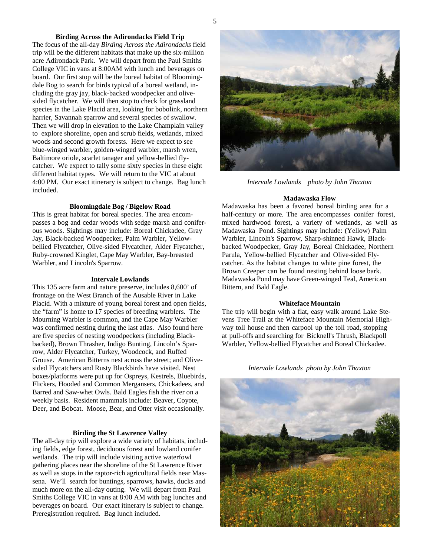### **Birding Across the Adirondacks Field Trip**

The focus of the all-day *Birding Across the Adirondacks* field trip will be the different habitats that make up the six-million acre Adirondack Park. We will depart from the Paul Smiths College VIC in vans at 8:00AM with lunch and beverages on board. Our first stop will be the boreal habitat of Bloomingdale Bog to search for birds typical of a boreal wetland, including the gray jay, black-backed woodpecker and olivesided flycatcher. We will then stop to check for grassland species in the Lake Placid area, looking for bobolink, northern harrier, Savannah sparrow and several species of swallow. Then we will drop in elevation to the Lake Champlain valley to explore shoreline, open and scrub fields, wetlands, mixed woods and second growth forests. Here we expect to see blue-winged warbler, golden-winged warbler, marsh wren, Baltimore oriole, scarlet tanager and yellow-bellied flycatcher. We expect to tally some sixty species in these eight different habitat types. We will return to the VIC at about 4:00 PM. Our exact itinerary is subject to change. Bag lunch included.

### **Bloomingdale Bog / Bigelow Road**

This is great habitat for boreal species. The area encompasses a bog and cedar woods with sedge marsh and coniferous woods. Sightings may include: Boreal Chickadee, Gray Jay, Black-backed Woodpecker, Palm Warbler, Yellowbellied Flycatcher, Olive-sided Flycatcher, Alder Flycatcher, Ruby-crowned Kinglet, Cape May Warbler, Bay-breasted Warbler, and Lincoln's Sparrow.

#### **Intervale Lowlands**

This 135 acre farm and nature preserve, includes 8,600' of frontage on the West Branch of the Ausable River in Lake Placid. With a mixture of young boreal forest and open fields, the "farm" is home to 17 species of breeding warblers. The Mourning Warbler is common, and the Cape May Warbler was confirmed nesting during the last atlas. Also found here are five species of nesting woodpeckers (including Blackbacked), Brown Thrasher, Indigo Bunting, Lincoln's Sparrow, Alder Flycatcher, Turkey, Woodcock, and Ruffed Grouse. American Bitterns nest across the street; and Olivesided Flycatchers and Rusty Blackbirds have visited. Nest boxes/platforms were put up for Ospreys, Kestrels, Bluebirds, Flickers, Hooded and Common Mergansers, Chickadees, and Barred and Saw-whet Owls. Bald Eagles fish the river on a weekly basis. Resident mammals include: Beaver, Coyote, Deer, and Bobcat. Moose, Bear, and Otter visit occasionally.

#### **Birding the St Lawrence Valley**

The all-day trip will explore a wide variety of habitats, including fields, edge forest, deciduous forest and lowland conifer wetlands. The trip will include visiting active waterfowl gathering places near the shoreline of the St Lawrence River as well as stops in the raptor-rich agricultural fields near Massena. We'll search for buntings, sparrows, hawks, ducks and much more on the all-day outing. We will depart from Paul Smiths College VIC in vans at 8:00 AM with bag lunches and beverages on board. Our exact itinerary is subject to change. Preregistration required. Bag lunch included.



*Intervale Lowlands photo by John Thaxton* 

#### **Madawaska Flow**

Madawaska has been a favored boreal birding area for a half-century or more. The area encompasses conifer forest, mixed hardwood forest, a variety of wetlands, as well as Madawaska Pond. Sightings may include: (Yellow) Palm Warbler, Lincoln's Sparrow, Sharp-shinned Hawk, Blackbacked Woodpecker, Gray Jay, Boreal Chickadee, Northern Parula, Yellow-bellied Flycatcher and Olive-sided Flycatcher. As the habitat changes to white pine forest, the Brown Creeper can be found nesting behind loose bark. Madawaska Pond may have Green-winged Teal, American Bittern, and Bald Eagle.

#### **Whiteface Mountain**

The trip will begin with a flat, easy walk around Lake Stevens Tree Trail at the Whiteface Mountain Memorial Highway toll house and then carpool up the toll road, stopping at pull-offs and searching for Bicknell's Thrush, Blackpoll Warbler, Yellow-bellied Flycatcher and Boreal Chickadee.

#### *Intervale Lowlands photo by John Thaxton*

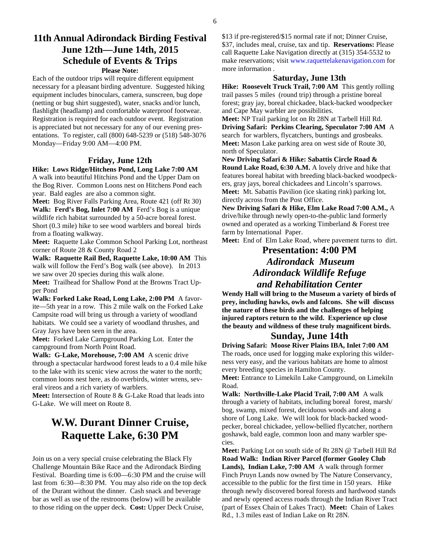### **11th Annual Adirondack Birding Festival June 12th—June 14th, 2015 Schedule of Events & Trips Please Note:**

Each of the outdoor trips will require different equipment necessary for a pleasant birding adventure. Suggested hiking equipment includes binoculars, camera, sunscreen, bug dope (netting or bug shirt suggested), water, snacks and/or lunch, flashlight (headlamp) and comfortable waterproof footwear. Registration is required for each outdoor event. Registration is appreciated but not necessary for any of our evening presentations. To register, call (800) 648-5239 or (518) 548-3076 Monday—Friday 9:00 AM—4:00 PM.

#### **Friday, June 12th**

#### **Hike: Lows Ridge/Hitchens Pond, Long Lake 7:00 AM**

A walk into beautiful Hitchins Pond and the Upper Dam on the Bog River. Common Loons nest on Hitchens Pond each year. Bald eagles are also a common sight.

**Meet:** Bog River Falls Parking Area, Route 421 (off Rt 30)

**Walk: Ferd's Bog, Inlet 7:00 AM** Ferd's Bog is a unique wildlife rich habitat surrounded by a 50-acre boreal forest. Short (0.3 mile) hike to see wood warblers and boreal birds from a floating walkway.

**Meet:** Raquette Lake Common School Parking Lot, northeast corner of Route 28 & County Road 2

**Walk: Raquette Rail Bed, Raquette Lake, 10:00 AM** This walk will follow the Ferd's Bog walk (see above). In 2013 we saw over 20 species during this walk alone.

**Meet:** Trailhead for Shallow Pond at the Browns Tract Upper Pond

**Walk: Forked Lake Road, Long Lake, 2:00 PM** A favorite—5th year in a row. This 2 mile walk on the Forked Lake Campsite road will bring us through a variety of woodland habitats. We could see a variety of woodland thrushes, and Gray Jays have been seen in the area.

**Meet:** Forked Lake Campground Parking Lot. Enter the campground from North Point Road.

**Walk: G-Lake, Morehouse, 7:00 AM** A scenic drive through a spectacular hardwood forest leads to a 0.4 mile hike to the lake with its scenic view across the water to the north; common loons nest here, as do overbirds, winter wrens, several vireos and a rich variety of warblers.

**Meet:** Intersection of Route 8 & G-Lake Road that leads into G-Lake. We will meet on Route 8.

# **W.W. Durant Dinner Cruise, Raquette Lake, 6:30 PM**

Join us on a very special cruise celebrating the Black Fly Challenge Mountain Bike Race and the Adirondack Birding Festival. Boarding time is 6:00—6:30 PM and the cruise will last from 6:30—8:30 PM. You may also ride on the top deck of the Durant without the dinner. Cash snack and beverage bar as well as use of the restrooms (below) will be available to those riding on the upper deck. **Cost:** Upper Deck Cruise,

\$13 if pre-registered/\$15 normal rate if not; Dinner Cruise, \$37, includes meal, cruise, tax and tip. **Reservations:** Please call Raquette Lake Navigation directly at (315) 354-5532 to make reservations; visit www.raquettelakenavigation.com for more information .

### **Saturday, June 13th**

**Hike: Roosevelt Truck Trail, 7:00 AM** This gently rolling trail passes 5 miles (round trip) through a pristine boreal forest; gray jay, boreal chickadee, black-backed woodpecker and Cape May warbler are possibilities.

**Meet:** NP Trail parking lot on Rt 28N at Tarbell Hill Rd. **Driving Safari: Perkins Clearing, Speculator 7:00 AM** A search for warblers, flycatchers, buntings and grosbeaks. **Meet:** Mason Lake parking area on west side of Route 30, north of Speculator.

**New Driving Safari & Hike: Sabattis Circle Road & Round Lake Road, 6:30 A.M.** A lovely drive and hike that features boreal habitat with breeding black-backed woodpeckers, gray jays, boreal chickadees and Lincoln's sparrows. **Meet:** Mt. Sabattis Pavilion (ice skating rink) parking lot, directly across from the Post Office.

**New Driving Safari & Hike, Elm Lake Road 7:00 A.M.,** A drive/hike through newly open-to-the-public land formerly owned and operated as a working Timberland & Forest tree farm by International Paper.

**Meet:** End of Elm Lake Road, where pavement turns to dirt.

# **Presentation: 4:00 PM**  *Adirondack Museum Adirondack Wildlife Refuge and Rehabilitation Center*

**Wendy Hall will bring to the Museum a variety of birds of prey, including hawks, owls and falcons. She will discuss the nature of these birds and the challenges of helping injured raptors return to the wild. Experience up close the beauty and wildness of these truly magnificent birds.** 

### **Sunday, June 14th**

**Driving Safari: Moose River Plains IBA, Inlet 7:00 AM** The roads, once used for logging make exploring this wilderness very easy, and the various habitats are home to almost every breeding species in Hamilton County.

**Meet:** Entrance to Limekiln Lake Campground, on Limekiln Road.

**Walk: Northville-Lake Placid Trail, 7:00 AM** A walk through a variety of habitats, including boreal forest, marsh/ bog, swamp, mixed forest, deciduous woods and along a shore of Long Lake. We will look for black-backed woodpecker, boreal chickadee, yellow-bellied flycatcher, northern goshawk, bald eagle, common loon and many warbler species.

**Meet:** Parking Lot on south side of Rt 28N @ Tarbell Hill Rd **Road Walk: Indian River Parcel (former Gooley Club Lands), Indian Lake, 7:00 AM** A walk through former Finch Pruyn Lands now owned by The Nature Conservancy, accessible to the public for the first time in 150 years. Hike through newly discovered boreal forests and hardwood stands and newly opened access roads through the Indian River Tract (part of Essex Chain of Lakes Tract). **Meet:** Chain of Lakes Rd., 1.3 miles east of Indian Lake on Rt 28N.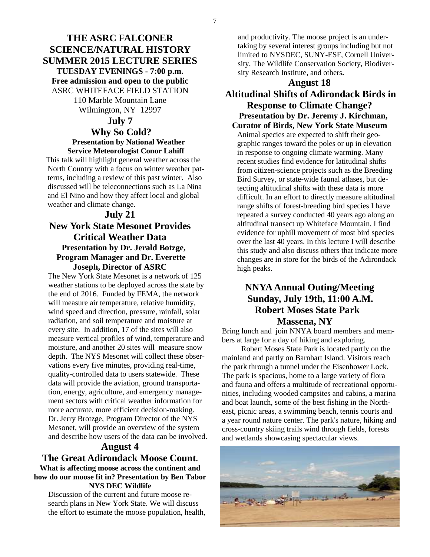# **THE ASRC FALCONER SCIENCE/NATURAL HISTORY SUMMER 2015 LECTURE SERIES TUESDAY EVENINGS - 7:00 p.m. Free admission and open to the public**  ASRC WHITEFACE FIELD STATION

110 Marble Mountain Lane Wilmington, NY 12997

### **July 7**

### **Why So Cold? Presentation by National Weather Service Meteorologist Conor Lahiff**

 This talk will highlight general weather across the North Country with a focus on winter weather patterns, including a review of this past winter. Also discussed will be teleconnections such as La Nina and El Nino and how they affect local and global weather and climate change.

### **July 21**

### **New York State Mesonet Provides Critical Weather Data Presentation by Dr. Jerald Botzge, Program Manager and Dr. Everette Joseph, Director of ASRC**

 The New York State Mesonet is a network of 125 weather stations to be deployed across the state by the end of 2016. Funded by FEMA, the network will measure air temperature, relative humidity, wind speed and direction, pressure, rainfall, solar radiation, and soil temperature and moisture at every site. In addition, 17 of the sites will also measure vertical profiles of wind, temperature and moisture, and another 20 sites will measure snow depth. The NYS Mesonet will collect these observations every five minutes, providing real-time, quality-controlled data to users statewide. These data will provide the aviation, ground transportation, energy, agriculture, and emergency management sectors with critical weather information for more accurate, more efficient decision-making. Dr. Jerry Brotzge, Program Director of the NYS Mesonet, will provide an overview of the system and describe how users of the data can be involved.

### **August 4**

### **The Great Adirondack Moose Count. What is affecting moose across the continent and how do our moose fit in? Presentation by Ben Tabor NYS DEC Wildlife**

Discussion of the current and future moose research plans in New York State. We will discuss the effort to estimate the moose population, health, and productivity. The moose project is an undertaking by several interest groups including but not limited to NYSDEC, SUNY-ESF, Cornell University, The Wildlife Conservation Society, Biodiversity Research Institute, and others**.** 

### **August 18**

# **Altitudinal Shifts of Adirondack Birds in Response to Climate Change? Presentation by Dr. Jeremy J. Kirchman,**

**Curator of Birds, New York State Museum** Animal species are expected to shift their geographic ranges toward the poles or up in elevation in response to ongoing climate warming. Many recent studies find evidence for latitudinal shifts from citizen-science projects such as the Breeding Bird Survey, or state-wide faunal atlases, but detecting altitudinal shifts with these data is more difficult. In an effort to directly measure altitudinal range shifts of forest-breeding bird species I have repeated a survey conducted 40 years ago along an altitudinal transect up Whiteface Mountain. I find evidence for uphill movement of most bird species over the last 40 years. In this lecture I will describe this study and also discuss others that indicate more changes are in store for the birds of the Adirondack high peaks.

# **NNYA Annual Outing/Meeting Sunday, July 19th, 11:00 A.M. Robert Moses State Park Massena, NY**

Bring lunch and join NNYA board members and members at large for a day of hiking and exploring.

 Robert Moses State Park is located partly on the mainland and partly on Barnhart Island. Visitors reach the park through a tunnel under the Eisenhower Lock. The park is spacious, home to a large variety of flora and fauna and offers a multitude of recreational opportunities, including wooded campsites and cabins, a marina and boat launch, some of the best fishing in the Northeast, picnic areas, a swimming beach, tennis courts and a year round nature center. The park's nature, hiking and cross-country skiing trails wind through fields, forests and wetlands showcasing spectacular views.